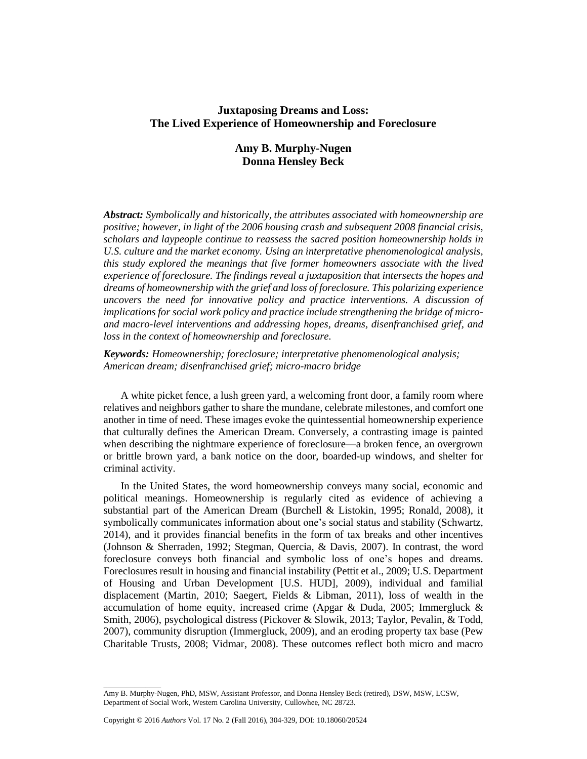# **Juxtaposing Dreams and Loss: The Lived Experience of Homeownership and Foreclosure**

# **Amy B. Murphy-Nugen Donna Hensley Beck**

*Abstract: Symbolically and historically, the attributes associated with homeownership are positive; however, in light of the 2006 housing crash and subsequent 2008 financial crisis, scholars and laypeople continue to reassess the sacred position homeownership holds in U.S. culture and the market economy. Using an interpretative phenomenological analysis, this study explored the meanings that five former homeowners associate with the lived experience of foreclosure. The findings reveal a juxtaposition that intersects the hopes and dreams of homeownership with the grief and loss of foreclosure. This polarizing experience uncovers the need for innovative policy and practice interventions. A discussion of implications for social work policy and practice include strengthening the bridge of microand macro-level interventions and addressing hopes, dreams, disenfranchised grief, and loss in the context of homeownership and foreclosure.*

# *Keywords: Homeownership; foreclosure; interpretative phenomenological analysis; American dream; disenfranchised grief; micro-macro bridge*

A white picket fence, a lush green yard, a welcoming front door, a family room where relatives and neighbors gather to share the mundane, celebrate milestones, and comfort one another in time of need. These images evoke the quintessential homeownership experience that culturally defines the American Dream. Conversely, a contrasting image is painted when describing the nightmare experience of foreclosure—a broken fence, an overgrown or brittle brown yard, a bank notice on the door, boarded*-*up windows, and shelter for criminal activity.

In the United States, the word homeownership conveys many social, economic and political meanings. Homeownership is regularly cited as evidence of achieving a substantial part of the American Dream (Burchell & Listokin, 1995; Ronald, 2008), it symbolically communicates information about one's social status and stability (Schwartz, 2014), and it provides financial benefits in the form of tax breaks and other incentives (Johnson & Sherraden, 1992; Stegman, Quercia, & Davis, 2007). In contrast, the word foreclosure conveys both financial and symbolic loss of one's hopes and dreams. Foreclosures result in housing and financial instability (Pettit et al., 2009; U.S. Department of Housing and Urban Development [U.S. HUD], 2009), individual and familial displacement (Martin, 2010; Saegert, Fields & Libman, 2011), loss of wealth in the accumulation of home equity, increased crime (Apgar & Duda, 2005; Immergluck  $\&$ Smith, 2006), psychological distress (Pickover & Slowik, 2013; Taylor, Pevalin, & Todd, 2007), community disruption (Immergluck, 2009), and an eroding property tax base (Pew Charitable Trusts, 2008; Vidmar, 2008). These outcomes reflect both micro and macro

\_\_\_\_\_\_\_\_\_\_\_\_\_\_\_

Amy B. Murphy-Nugen, PhD, MSW, Assistant Professor, and Donna Hensley Beck (retired), DSW, MSW, LCSW, Department of Social Work, Western Carolina University, Cullowhee, NC 28723.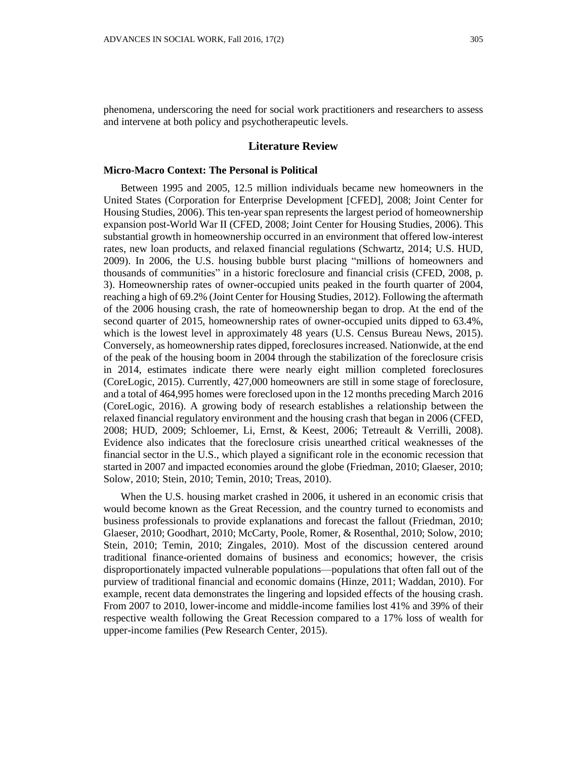phenomena, underscoring the need for social work practitioners and researchers to assess and intervene at both policy and psychotherapeutic levels.

#### **Literature Review**

#### **Micro-Macro Context: The Personal is Political**

Between 1995 and 2005, 12.5 million individuals became new homeowners in the United States (Corporation for Enterprise Development [CFED], 2008; Joint Center for Housing Studies, 2006). This ten-year span represents the largest period of homeownership expansion post-World War II (CFED, 2008; Joint Center for Housing Studies, 2006). This substantial growth in homeownership occurred in an environment that offered low-interest rates, new loan products, and relaxed financial regulations (Schwartz, 2014; U.S. HUD, 2009). In 2006, the U.S. housing bubble burst placing "millions of homeowners and thousands of communities" in a historic foreclosure and financial crisis (CFED, 2008, p. 3). Homeownership rates of owner-occupied units peaked in the fourth quarter of 2004, reaching a high of 69.2% (Joint Center for Housing Studies, 2012). Following the aftermath of the 2006 housing crash, the rate of homeownership began to drop. At the end of the second quarter of 2015, homeownership rates of owner-occupied units dipped to 63.4%, which is the lowest level in approximately 48 years (U.S. Census Bureau News, 2015). Conversely, as homeownership rates dipped, foreclosuresincreased. Nationwide, at the end of the peak of the housing boom in 2004 through the stabilization of the foreclosure crisis in 2014, estimates indicate there were nearly eight million completed foreclosures (CoreLogic, 2015). Currently, 427,000 homeowners are still in some stage of foreclosure, and a total of 464,995 homes were foreclosed upon in the 12 months preceding March 2016 (CoreLogic, 2016). A growing body of research establishes a relationship between the relaxed financial regulatory environment and the housing crash that began in 2006 (CFED, 2008; HUD, 2009; Schloemer, Li, Ernst, & Keest, 2006; Tetreault & Verrilli, 2008). Evidence also indicates that the foreclosure crisis unearthed critical weaknesses of the financial sector in the U.S., which played a significant role in the economic recession that started in 2007 and impacted economies around the globe (Friedman, 2010; Glaeser, 2010; Solow, 2010; Stein, 2010; Temin, 2010; Treas, 2010).

When the U.S. housing market crashed in 2006, it ushered in an economic crisis that would become known as the Great Recession, and the country turned to economists and business professionals to provide explanations and forecast the fallout (Friedman, 2010; Glaeser, 2010; Goodhart, 2010; McCarty, Poole, Romer, & Rosenthal, 2010; Solow, 2010; Stein, 2010; Temin, 2010; Zingales, 2010). Most of the discussion centered around traditional finance-oriented domains of business and economics; however, the crisis disproportionately impacted vulnerable populations—populations that often fall out of the purview of traditional financial and economic domains (Hinze, 2011; Waddan, 2010). For example, recent data demonstrates the lingering and lopsided effects of the housing crash. From 2007 to 2010, lower-income and middle-income families lost 41% and 39% of their respective wealth following the Great Recession compared to a 17% loss of wealth for upper-income families (Pew Research Center, 2015).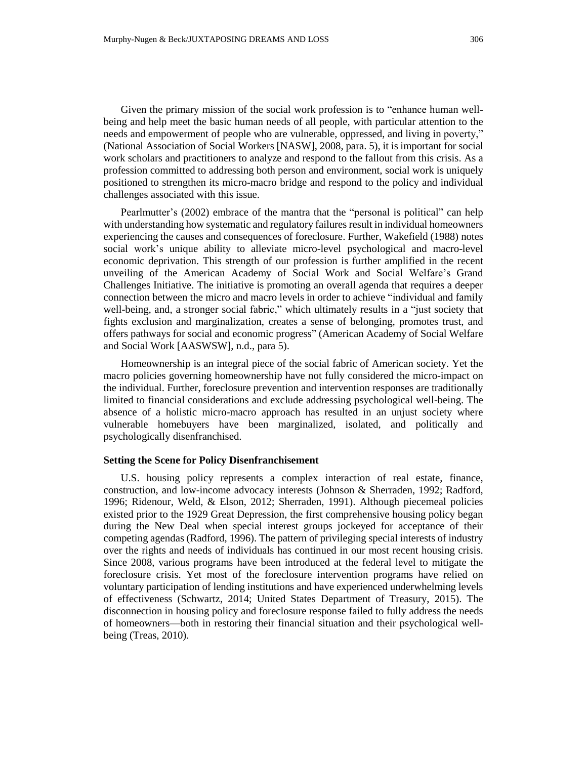Given the primary mission of the social work profession is to "enhance human wellbeing and help meet the basic human needs of all people, with particular attention to the needs and empowerment of people who are vulnerable, oppressed, and living in poverty," (National Association of Social Workers [NASW], 2008, para. 5), it is important for social work scholars and practitioners to analyze and respond to the fallout from this crisis. As a profession committed to addressing both person and environment, social work is uniquely positioned to strengthen its micro-macro bridge and respond to the policy and individual challenges associated with this issue.

Pearlmutter's (2002) embrace of the mantra that the "personal is political" can help with understanding how systematic and regulatory failures result in individual homeowners experiencing the causes and consequences of foreclosure. Further, Wakefield (1988) notes social work's unique ability to alleviate micro-level psychological and macro-level economic deprivation. This strength of our profession is further amplified in the recent unveiling of the American Academy of Social Work and Social Welfare's Grand Challenges Initiative. The initiative is promoting an overall agenda that requires a deeper connection between the micro and macro levels in order to achieve "individual and family well-being, and, a stronger social fabric," which ultimately results in a "just society that fights exclusion and marginalization, creates a sense of belonging, promotes trust, and offers pathways for social and economic progress" (American Academy of Social Welfare and Social Work [AASWSW], n.d., para 5).

Homeownership is an integral piece of the social fabric of American society. Yet the macro policies governing homeownership have not fully considered the micro-impact on the individual. Further, foreclosure prevention and intervention responses are traditionally limited to financial considerations and exclude addressing psychological well-being. The absence of a holistic micro-macro approach has resulted in an unjust society where vulnerable homebuyers have been marginalized, isolated, and politically and psychologically disenfranchised.

#### **Setting the Scene for Policy Disenfranchisement**

U.S. housing policy represents a complex interaction of real estate, finance, construction, and low-income advocacy interests (Johnson & Sherraden, 1992; Radford, 1996; Ridenour, Weld, & Elson, 2012; Sherraden, 1991). Although piecemeal policies existed prior to the 1929 Great Depression, the first comprehensive housing policy began during the New Deal when special interest groups jockeyed for acceptance of their competing agendas (Radford, 1996). The pattern of privileging special interests of industry over the rights and needs of individuals has continued in our most recent housing crisis. Since 2008, various programs have been introduced at the federal level to mitigate the foreclosure crisis. Yet most of the foreclosure intervention programs have relied on voluntary participation of lending institutions and have experienced underwhelming levels of effectiveness (Schwartz, 2014; United States Department of Treasury, 2015). The disconnection in housing policy and foreclosure response failed to fully address the needs of homeowners—both in restoring their financial situation and their psychological wellbeing (Treas, 2010).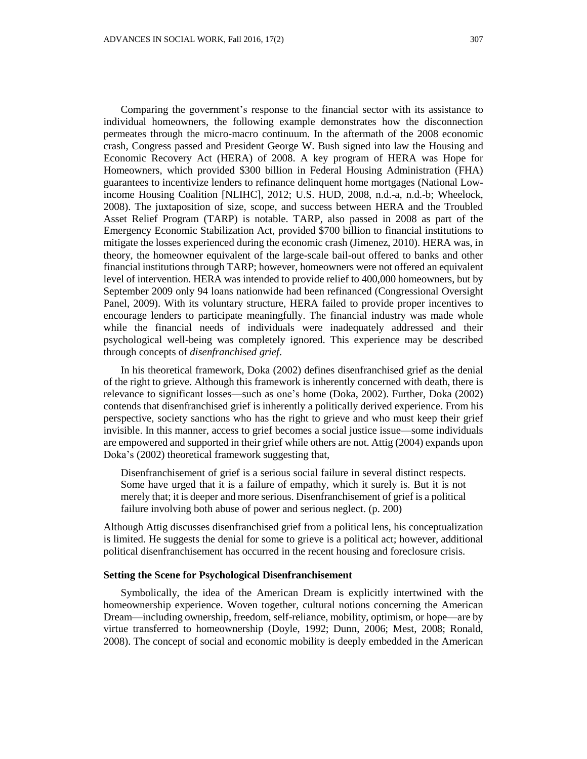Comparing the government's response to the financial sector with its assistance to individual homeowners, the following example demonstrates how the disconnection permeates through the micro-macro continuum. In the aftermath of the 2008 economic crash, Congress passed and President George W. Bush signed into law the Housing and Economic Recovery Act (HERA) of 2008. A key program of HERA was Hope for Homeowners, which provided \$300 billion in Federal Housing Administration (FHA) guarantees to incentivize lenders to refinance delinquent home mortgages (National Lowincome Housing Coalition [NLIHC], 2012; U.S. HUD, 2008, n.d.-a, n.d.-b; Wheelock, 2008). The juxtaposition of size, scope, and success between HERA and the Troubled Asset Relief Program (TARP) is notable. TARP, also passed in 2008 as part of the Emergency Economic Stabilization Act, provided \$700 billion to financial institutions to mitigate the losses experienced during the economic crash (Jimenez, 2010). HERA was, in theory, the homeowner equivalent of the large-scale bail-out offered to banks and other financial institutions through TARP; however, homeowners were not offered an equivalent level of intervention. HERA was intended to provide relief to 400,000 homeowners, but by September 2009 only 94 loans nationwide had been refinanced (Congressional Oversight Panel, 2009). With its voluntary structure, HERA failed to provide proper incentives to encourage lenders to participate meaningfully. The financial industry was made whole while the financial needs of individuals were inadequately addressed and their psychological well-being was completely ignored. This experience may be described through concepts of *disenfranchised grief*.

In his theoretical framework, Doka (2002) defines disenfranchised grief as the denial of the right to grieve. Although this framework is inherently concerned with death, there is relevance to significant losses—such as one's home (Doka, 2002). Further, Doka (2002) contends that disenfranchised grief is inherently a politically derived experience. From his perspective, society sanctions who has the right to grieve and who must keep their grief invisible. In this manner, access to grief becomes a social justice issue—some individuals are empowered and supported in their grief while others are not. Attig (2004) expands upon Doka's (2002) theoretical framework suggesting that,

Disenfranchisement of grief is a serious social failure in several distinct respects. Some have urged that it is a failure of empathy, which it surely is. But it is not merely that; it is deeper and more serious. Disenfranchisement of grief is a political failure involving both abuse of power and serious neglect. (p. 200)

Although Attig discusses disenfranchised grief from a political lens, his conceptualization is limited. He suggests the denial for some to grieve is a political act; however, additional political disenfranchisement has occurred in the recent housing and foreclosure crisis.

### **Setting the Scene for Psychological Disenfranchisement**

Symbolically, the idea of the American Dream is explicitly intertwined with the homeownership experience. Woven together, cultural notions concerning the American Dream—including ownership, freedom, self-reliance, mobility, optimism, or hope—are by virtue transferred to homeownership (Doyle, 1992; Dunn, 2006; Mest, 2008; Ronald, 2008). The concept of social and economic mobility is deeply embedded in the American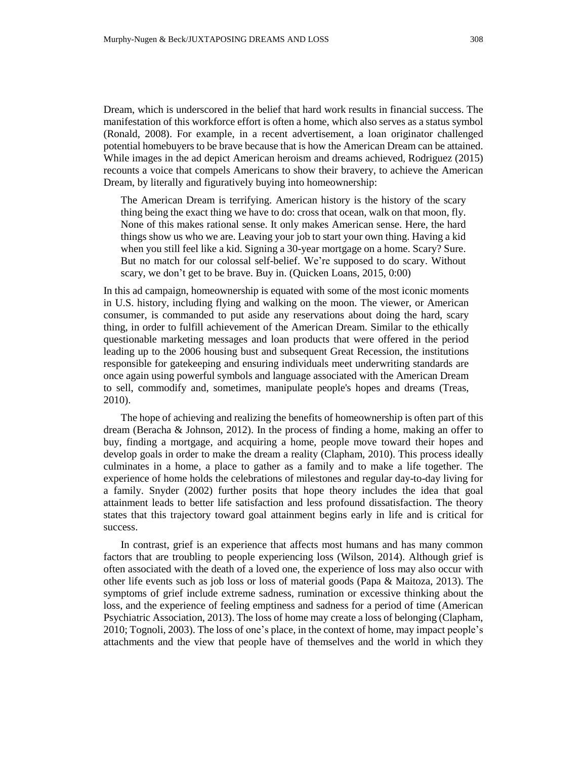Dream, which is underscored in the belief that hard work results in financial success. The manifestation of this workforce effort is often a home, which also serves as a status symbol (Ronald, 2008). For example, in a recent advertisement, a loan originator challenged potential homebuyers to be brave because that is how the American Dream can be attained. While images in the ad depict American heroism and dreams achieved, Rodriguez (2015) recounts a voice that compels Americans to show their bravery, to achieve the American Dream, by literally and figuratively buying into homeownership:

The American Dream is terrifying. American history is the history of the scary thing being the exact thing we have to do: cross that ocean, walk on that moon, fly. None of this makes rational sense. It only makes American sense. Here, the hard things show us who we are. Leaving your job to start your own thing. Having a kid when you still feel like a kid. Signing a 30-year mortgage on a home. Scary? Sure. But no match for our colossal self-belief. We're supposed to do scary. Without scary, we don't get to be brave. Buy in. (Quicken Loans, 2015, 0:00)

In this ad campaign, homeownership is equated with some of the most iconic moments in U.S. history, including flying and walking on the moon. The viewer, or American consumer, is commanded to put aside any reservations about doing the hard, scary thing, in order to fulfill achievement of the American Dream. Similar to the ethically questionable marketing messages and loan products that were offered in the period leading up to the 2006 housing bust and subsequent Great Recession, the institutions responsible for gatekeeping and ensuring individuals meet underwriting standards are once again using powerful symbols and language associated with the American Dream to sell, commodify and, sometimes, manipulate people's hopes and dreams (Treas, 2010).

The hope of achieving and realizing the benefits of homeownership is often part of this dream (Beracha & Johnson, 2012). In the process of finding a home, making an offer to buy, finding a mortgage, and acquiring a home, people move toward their hopes and develop goals in order to make the dream a reality (Clapham, 2010). This process ideally culminates in a home, a place to gather as a family and to make a life together. The experience of home holds the celebrations of milestones and regular day-to-day living for a family. Snyder (2002) further posits that hope theory includes the idea that goal attainment leads to better life satisfaction and less profound dissatisfaction. The theory states that this trajectory toward goal attainment begins early in life and is critical for success.

In contrast, grief is an experience that affects most humans and has many common factors that are troubling to people experiencing loss (Wilson, 2014). Although grief is often associated with the death of a loved one, the experience of loss may also occur with other life events such as job loss or loss of material goods (Papa & Maitoza, 2013). The symptoms of grief include extreme sadness, rumination or excessive thinking about the loss, and the experience of feeling emptiness and sadness for a period of time (American Psychiatric Association, 2013). The loss of home may create a loss of belonging (Clapham, 2010; Tognoli, 2003). The loss of one's place, in the context of home, may impact people's attachments and the view that people have of themselves and the world in which they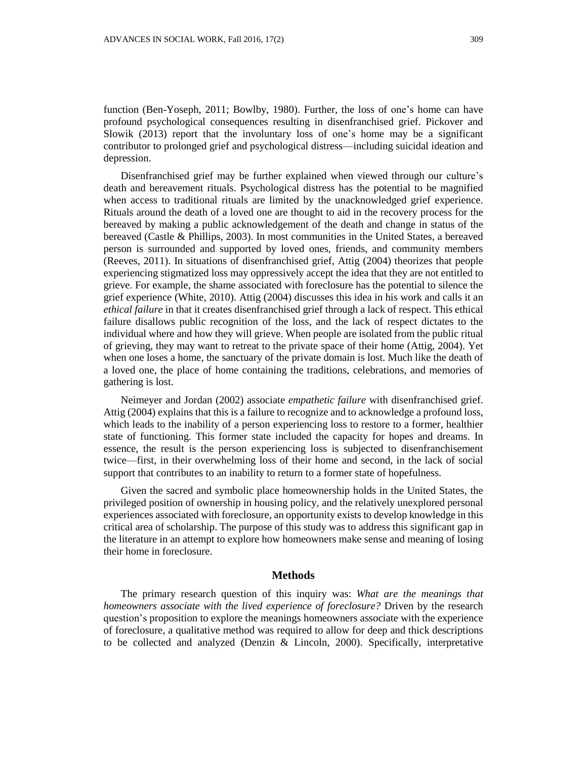function (Ben-Yoseph, 2011; Bowlby, 1980). Further, the loss of one's home can have profound psychological consequences resulting in disenfranchised grief. Pickover and Slowik (2013) report that the involuntary loss of one's home may be a significant contributor to prolonged grief and psychological distress—including suicidal ideation and depression.

Disenfranchised grief may be further explained when viewed through our culture's death and bereavement rituals. Psychological distress has the potential to be magnified when access to traditional rituals are limited by the unacknowledged grief experience. Rituals around the death of a loved one are thought to aid in the recovery process for the bereaved by making a public acknowledgement of the death and change in status of the bereaved (Castle & Phillips, 2003). In most communities in the United States, a bereaved person is surrounded and supported by loved ones, friends, and community members (Reeves, 2011). In situations of disenfranchised grief, Attig (2004) theorizes that people experiencing stigmatized loss may oppressively accept the idea that they are not entitled to grieve. For example, the shame associated with foreclosure has the potential to silence the grief experience (White, 2010). Attig (2004) discusses this idea in his work and calls it an *ethical failure* in that it creates disenfranchised grief through a lack of respect. This ethical failure disallows public recognition of the loss, and the lack of respect dictates to the individual where and how they will grieve. When people are isolated from the public ritual of grieving, they may want to retreat to the private space of their home (Attig, 2004). Yet when one loses a home, the sanctuary of the private domain is lost. Much like the death of a loved one, the place of home containing the traditions, celebrations, and memories of gathering is lost.

Neimeyer and Jordan (2002) associate *empathetic failure* with disenfranchised grief. Attig (2004) explains that this is a failure to recognize and to acknowledge a profound loss, which leads to the inability of a person experiencing loss to restore to a former, healthier state of functioning. This former state included the capacity for hopes and dreams. In essence, the result is the person experiencing loss is subjected to disenfranchisement twice—first, in their overwhelming loss of their home and second, in the lack of social support that contributes to an inability to return to a former state of hopefulness.

Given the sacred and symbolic place homeownership holds in the United States, the privileged position of ownership in housing policy, and the relatively unexplored personal experiences associated with foreclosure, an opportunity exists to develop knowledge in this critical area of scholarship. The purpose of this study was to address this significant gap in the literature in an attempt to explore how homeowners make sense and meaning of losing their home in foreclosure.

### **Methods**

The primary research question of this inquiry was: *What are the meanings that homeowners associate with the lived experience of foreclosure?* Driven by the research question's proposition to explore the meanings homeowners associate with the experience of foreclosure, a qualitative method was required to allow for deep and thick descriptions to be collected and analyzed (Denzin  $\&$  Lincoln, 2000). Specifically, interpretative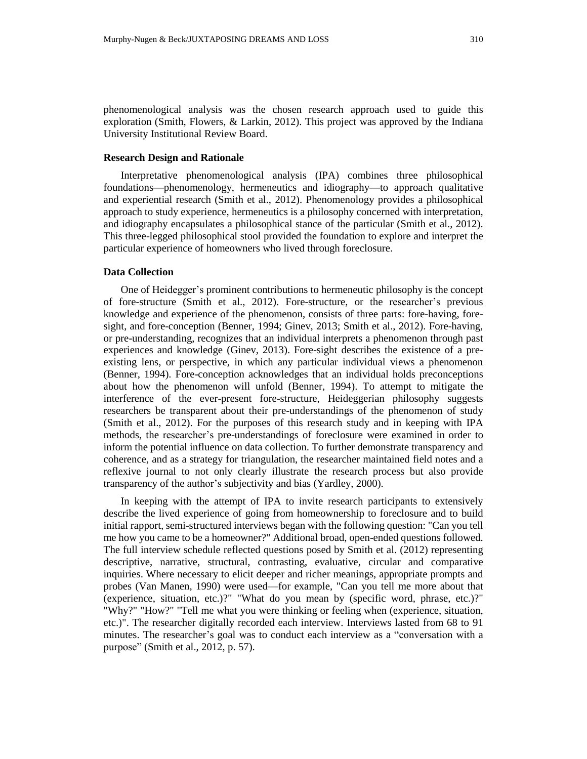phenomenological analysis was the chosen research approach used to guide this exploration (Smith, Flowers, & Larkin, 2012). This project was approved by the Indiana University Institutional Review Board.

# **Research Design and Rationale**

Interpretative phenomenological analysis (IPA) combines three philosophical foundations—phenomenology, hermeneutics and idiography—to approach qualitative and experiential research (Smith et al., 2012). Phenomenology provides a philosophical approach to study experience, hermeneutics is a philosophy concerned with interpretation, and idiography encapsulates a philosophical stance of the particular (Smith et al., 2012). This three-legged philosophical stool provided the foundation to explore and interpret the particular experience of homeowners who lived through foreclosure.

### **Data Collection**

One of Heidegger's prominent contributions to hermeneutic philosophy is the concept of fore-structure (Smith et al., 2012). Fore-structure, or the researcher's previous knowledge and experience of the phenomenon, consists of three parts: fore-having, foresight, and fore-conception (Benner, 1994; Ginev, 2013; Smith et al., 2012). Fore-having, or pre-understanding, recognizes that an individual interprets a phenomenon through past experiences and knowledge (Ginev, 2013). Fore-sight describes the existence of a preexisting lens, or perspective, in which any particular individual views a phenomenon (Benner, 1994). Fore-conception acknowledges that an individual holds preconceptions about how the phenomenon will unfold (Benner, 1994). To attempt to mitigate the interference of the ever-present fore-structure, Heideggerian philosophy suggests researchers be transparent about their pre-understandings of the phenomenon of study (Smith et al., 2012). For the purposes of this research study and in keeping with IPA methods, the researcher's pre-understandings of foreclosure were examined in order to inform the potential influence on data collection. To further demonstrate transparency and coherence, and as a strategy for triangulation, the researcher maintained field notes and a reflexive journal to not only clearly illustrate the research process but also provide transparency of the author's subjectivity and bias (Yardley, 2000).

In keeping with the attempt of IPA to invite research participants to extensively describe the lived experience of going from homeownership to foreclosure and to build initial rapport, semi-structured interviews began with the following question: "Can you tell me how you came to be a homeowner?" Additional broad, open-ended questions followed. The full interview schedule reflected questions posed by Smith et al. (2012) representing descriptive, narrative, structural, contrasting, evaluative, circular and comparative inquiries. Where necessary to elicit deeper and richer meanings, appropriate prompts and probes (Van Manen, 1990) were used—for example, "Can you tell me more about that (experience, situation, etc.)?" "What do you mean by (specific word, phrase, etc.)?" "Why?" "How?" "Tell me what you were thinking or feeling when (experience, situation, etc.)". The researcher digitally recorded each interview. Interviews lasted from 68 to 91 minutes. The researcher's goal was to conduct each interview as a "conversation with a purpose" (Smith et al., 2012, p. 57).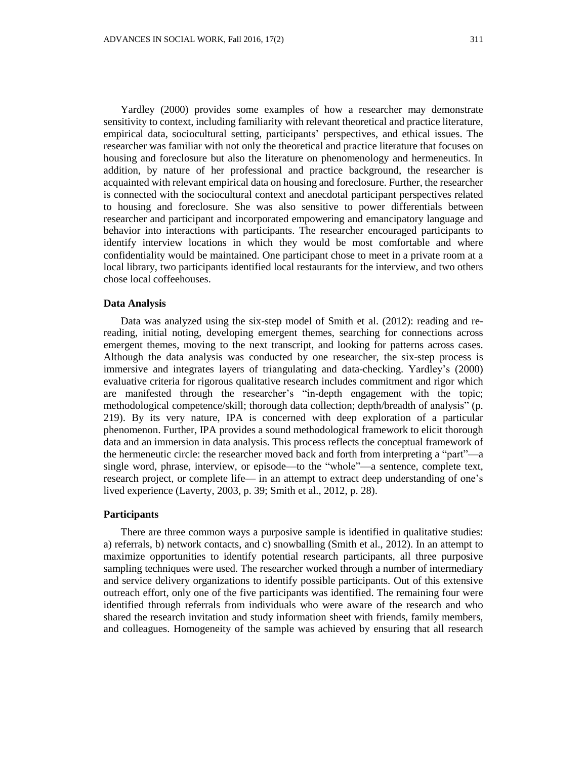Yardley (2000) provides some examples of how a researcher may demonstrate sensitivity to context, including familiarity with relevant theoretical and practice literature, empirical data, sociocultural setting, participants' perspectives, and ethical issues. The researcher was familiar with not only the theoretical and practice literature that focuses on housing and foreclosure but also the literature on phenomenology and hermeneutics. In addition, by nature of her professional and practice background, the researcher is acquainted with relevant empirical data on housing and foreclosure. Further, the researcher is connected with the sociocultural context and anecdotal participant perspectives related to housing and foreclosure. She was also sensitive to power differentials between researcher and participant and incorporated empowering and emancipatory language and behavior into interactions with participants. The researcher encouraged participants to identify interview locations in which they would be most comfortable and where confidentiality would be maintained. One participant chose to meet in a private room at a local library, two participants identified local restaurants for the interview, and two others chose local coffeehouses.

#### **Data Analysis**

Data was analyzed using the six-step model of Smith et al. (2012): reading and rereading, initial noting, developing emergent themes, searching for connections across emergent themes, moving to the next transcript, and looking for patterns across cases. Although the data analysis was conducted by one researcher, the six-step process is immersive and integrates layers of triangulating and data-checking. Yardley's (2000) evaluative criteria for rigorous qualitative research includes commitment and rigor which are manifested through the researcher's "in-depth engagement with the topic; methodological competence/skill; thorough data collection; depth/breadth of analysis" (p. 219). By its very nature, IPA is concerned with deep exploration of a particular phenomenon. Further, IPA provides a sound methodological framework to elicit thorough data and an immersion in data analysis. This process reflects the conceptual framework of the hermeneutic circle: the researcher moved back and forth from interpreting a "part"—a single word, phrase, interview, or episode—to the "whole"—a sentence, complete text, research project, or complete life— in an attempt to extract deep understanding of one's lived experience (Laverty, 2003, p. 39; Smith et al., 2012, p. 28).

### **Participants**

There are three common ways a purposive sample is identified in qualitative studies: a) referrals, b) network contacts, and c) snowballing (Smith et al., 2012). In an attempt to maximize opportunities to identify potential research participants, all three purposive sampling techniques were used. The researcher worked through a number of intermediary and service delivery organizations to identify possible participants. Out of this extensive outreach effort, only one of the five participants was identified. The remaining four were identified through referrals from individuals who were aware of the research and who shared the research invitation and study information sheet with friends, family members, and colleagues. Homogeneity of the sample was achieved by ensuring that all research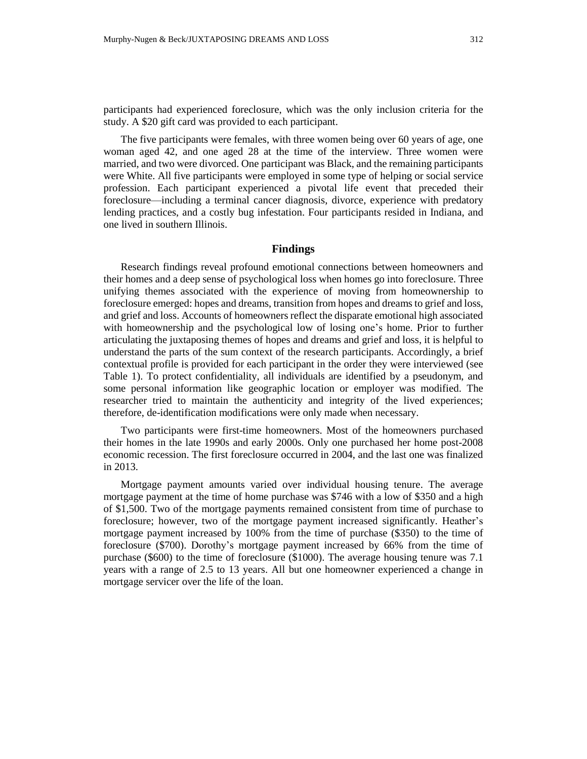participants had experienced foreclosure, which was the only inclusion criteria for the study. A \$20 gift card was provided to each participant.

The five participants were females, with three women being over 60 years of age, one woman aged 42, and one aged 28 at the time of the interview. Three women were married, and two were divorced. One participant was Black, and the remaining participants were White. All five participants were employed in some type of helping or social service profession. Each participant experienced a pivotal life event that preceded their foreclosure—including a terminal cancer diagnosis, divorce, experience with predatory lending practices, and a costly bug infestation. Four participants resided in Indiana, and one lived in southern Illinois.

# **Findings**

Research findings reveal profound emotional connections between homeowners and their homes and a deep sense of psychological loss when homes go into foreclosure. Three unifying themes associated with the experience of moving from homeownership to foreclosure emerged: hopes and dreams, transition from hopes and dreams to grief and loss, and grief and loss. Accounts of homeowners reflect the disparate emotional high associated with homeownership and the psychological low of losing one's home. Prior to further articulating the juxtaposing themes of hopes and dreams and grief and loss, it is helpful to understand the parts of the sum context of the research participants. Accordingly, a brief contextual profile is provided for each participant in the order they were interviewed (see Table 1). To protect confidentiality, all individuals are identified by a pseudonym, and some personal information like geographic location or employer was modified. The researcher tried to maintain the authenticity and integrity of the lived experiences; therefore, de-identification modifications were only made when necessary.

Two participants were first-time homeowners. Most of the homeowners purchased their homes in the late 1990s and early 2000s. Only one purchased her home post-2008 economic recession. The first foreclosure occurred in 2004, and the last one was finalized in 2013.

Mortgage payment amounts varied over individual housing tenure. The average mortgage payment at the time of home purchase was \$746 with a low of \$350 and a high of \$1,500. Two of the mortgage payments remained consistent from time of purchase to foreclosure; however, two of the mortgage payment increased significantly. Heather's mortgage payment increased by 100% from the time of purchase (\$350) to the time of foreclosure (\$700). Dorothy's mortgage payment increased by 66% from the time of purchase (\$600) to the time of foreclosure (\$1000). The average housing tenure was 7.1 years with a range of 2.5 to 13 years. All but one homeowner experienced a change in mortgage servicer over the life of the loan.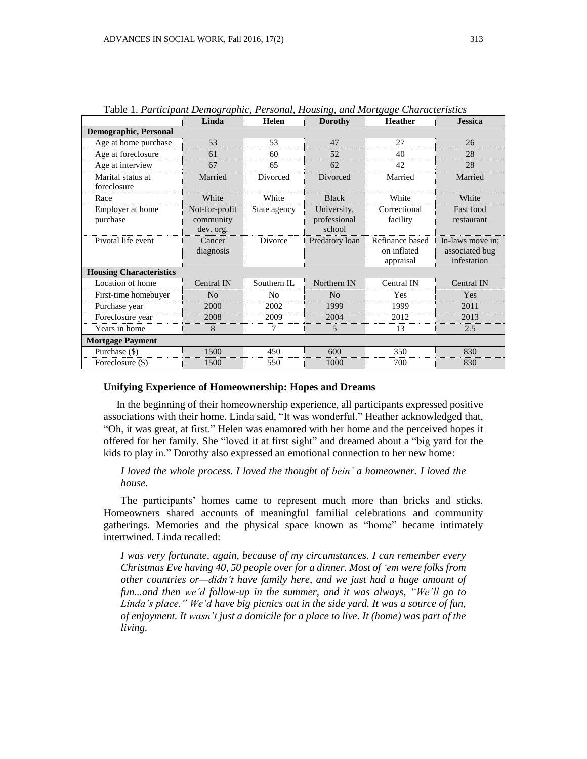|                                  | Linda                                    | Helen          | <b>Dorothy</b>                        | <b>Heather</b>                              | <b>Jessica</b>                                    |
|----------------------------------|------------------------------------------|----------------|---------------------------------------|---------------------------------------------|---------------------------------------------------|
| <b>Demographic, Personal</b>     |                                          |                |                                       |                                             |                                                   |
| Age at home purchase             | 53                                       | 53             | 47                                    | 27                                          | 26                                                |
| Age at foreclosure               | 61                                       | 60             | 52                                    | 40                                          | 28                                                |
| Age at interview                 | 67                                       | 65             | 62                                    | 42                                          | 28                                                |
| Marital status at<br>foreclosure | Married                                  | Divorced       | Divorced                              | Married                                     | Married                                           |
| Race                             | White                                    | White          | <b>Black</b>                          | White                                       | White                                             |
| Employer at home<br>purchase     | Not-for-profit<br>community<br>dev. org. | State agency   | University,<br>professional<br>school | Correctional<br>facility                    | Fast food<br>restaurant                           |
| Pivotal life event               | Cancer<br>diagnosis                      | Divorce        | Predatory loan                        | Refinance based<br>on inflated<br>appraisal | In-laws move in:<br>associated bug<br>infestation |
| <b>Housing Characteristics</b>   |                                          |                |                                       |                                             |                                                   |
| Location of home                 | Central IN                               | Southern IL    | Northern IN                           | Central IN                                  | Central IN                                        |
| First-time homebuyer             | N <sub>o</sub>                           | N <sub>0</sub> | N <sub>0</sub>                        | Yes                                         | Yes                                               |
| Purchase year                    | 2000                                     | 2002           | 1999                                  | 1999                                        | 2011                                              |
| Foreclosure year                 | 2008                                     | 2009           | 2004                                  | 2012                                        | 2013                                              |
| Years in home                    | 8                                        | 7              | 5                                     | 13                                          | 2.5                                               |
| <b>Mortgage Payment</b>          |                                          |                |                                       |                                             |                                                   |
| Purchase (\$)                    | 1500                                     | 450            | 600                                   | 350                                         | 830                                               |
| Foreclosure (\$)                 | 1500                                     | 550            | 1000                                  | 700                                         | 830                                               |

Table 1. *Participant Demographic, Personal, Housing, and Mortgage Characteristics*

#### **Unifying Experience of Homeownership: Hopes and Dreams**

In the beginning of their homeownership experience, all participants expressed positive associations with their home. Linda said, "It was wonderful." Heather acknowledged that, "Oh, it was great, at first." Helen was enamored with her home and the perceived hopes it offered for her family. She "loved it at first sight" and dreamed about a "big yard for the kids to play in." Dorothy also expressed an emotional connection to her new home:

# *I loved the whole process. I loved the thought of bein' a homeowner. I loved the house.*

The participants' homes came to represent much more than bricks and sticks. Homeowners shared accounts of meaningful familial celebrations and community gatherings. Memories and the physical space known as "home" became intimately intertwined. Linda recalled:

*I was very fortunate, again, because of my circumstances. I can remember every Christmas Eve having 40, 50 people over for a dinner. Most of 'em were folks from other countries or—didn't have family here, and we just had a huge amount of fun...and then we'd follow-up in the summer, and it was always, "We'll go to Linda's place." We'd have big picnics out in the side yard. It was a source of fun, of enjoyment. It wasn't just a domicile for a place to live. It (home) was part of the living.*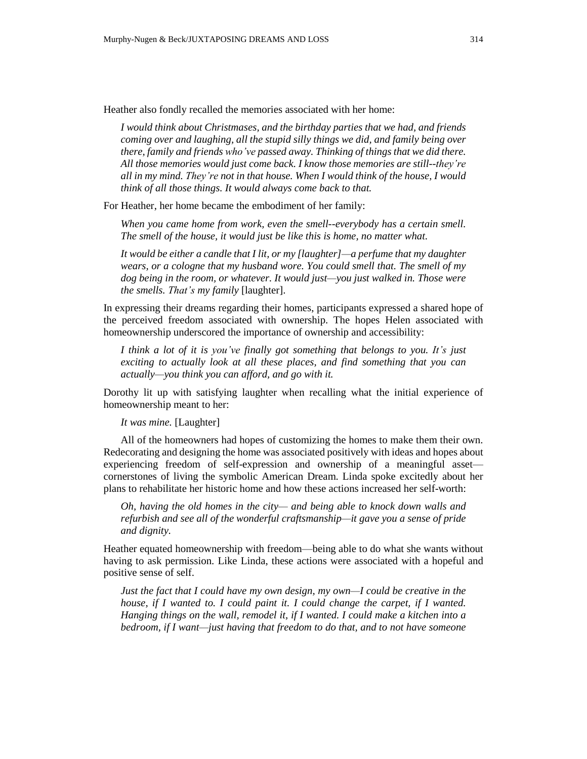Heather also fondly recalled the memories associated with her home:

*I would think about Christmases, and the birthday parties that we had, and friends coming over and laughing, all the stupid silly things we did, and family being over there, family and friends who've passed away. Thinking of things that we did there. All those memories would just come back. I know those memories are still--they're all in my mind. They're not in that house. When I would think of the house, I would think of all those things. It would always come back to that.*

For Heather, her home became the embodiment of her family:

*When you came home from work, even the smell--everybody has a certain smell. The smell of the house, it would just be like this is home, no matter what.*

*It would be either a candle that I lit, or my [laughter]—a perfume that my daughter wears, or a cologne that my husband wore. You could smell that. The smell of my dog being in the room, or whatever. It would just—you just walked in. Those were the smells. That's my family* [laughter].

In expressing their dreams regarding their homes, participants expressed a shared hope of the perceived freedom associated with ownership. The hopes Helen associated with homeownership underscored the importance of ownership and accessibility:

*I think a lot of it is you've finally got something that belongs to you. It's just exciting to actually look at all these places, and find something that you can actually—you think you can afford, and go with it.*

Dorothy lit up with satisfying laughter when recalling what the initial experience of homeownership meant to her:

*It was mine.* [Laughter]

All of the homeowners had hopes of customizing the homes to make them their own. Redecorating and designing the home was associated positively with ideas and hopes about experiencing freedom of self-expression and ownership of a meaningful asset cornerstones of living the symbolic American Dream. Linda spoke excitedly about her plans to rehabilitate her historic home and how these actions increased her self-worth:

*Oh, having the old homes in the city— and being able to knock down walls and refurbish and see all of the wonderful craftsmanship—it gave you a sense of pride and dignity.*

Heather equated homeownership with freedom—being able to do what she wants without having to ask permission. Like Linda, these actions were associated with a hopeful and positive sense of self.

*Just the fact that I could have my own design, my own—I could be creative in the house, if I wanted to. I could paint it. I could change the carpet, if I wanted. Hanging things on the wall, remodel it, if I wanted. I could make a kitchen into a bedroom, if I want—just having that freedom to do that, and to not have someone*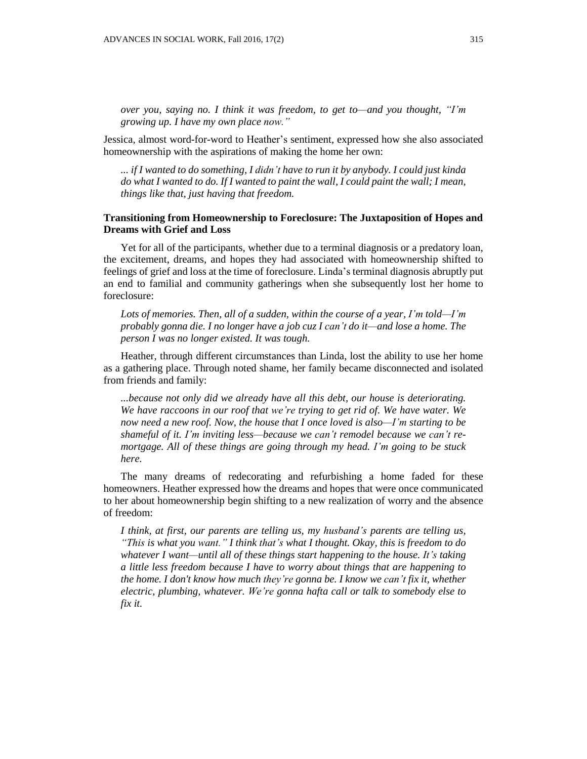*over you, saying no. I think it was freedom, to get to—and you thought, "I'm growing up. I have my own place now."*

Jessica, almost word-for-word to Heather's sentiment, expressed how she also associated homeownership with the aspirations of making the home her own:

*... if I wanted to do something, I didn't have to run it by anybody. I could just kinda* do what I wanted to do. If I wanted to paint the wall, I could paint the wall; I mean, *things like that, just having that freedom.*

## **Transitioning from Homeownership to Foreclosure: The Juxtaposition of Hopes and Dreams with Grief and Loss**

Yet for all of the participants, whether due to a terminal diagnosis or a predatory loan, the excitement, dreams, and hopes they had associated with homeownership shifted to feelings of grief and loss at the time of foreclosure. Linda's terminal diagnosis abruptly put an end to familial and community gatherings when she subsequently lost her home to foreclosure:

*Lots of memories. Then, all of a sudden, within the course of a year, I'm told—I'm probably gonna die. I no longer have a job cuz I can't do it—and lose a home. The person I was no longer existed. It was tough.*

Heather, through different circumstances than Linda, lost the ability to use her home as a gathering place. Through noted shame, her family became disconnected and isolated from friends and family:

*...because not only did we already have all this debt, our house is deteriorating. We have raccoons in our roof that we're trying to get rid of. We have water. We now need a new roof. Now, the house that I once loved is also—I'm starting to be shameful of it. I'm inviting less—because we can't remodel because we can't remortgage. All of these things are going through my head. I'm going to be stuck here.*

The many dreams of redecorating and refurbishing a home faded for these homeowners. Heather expressed how the dreams and hopes that were once communicated to her about homeownership begin shifting to a new realization of worry and the absence of freedom:

*I think, at first, our parents are telling us, my husband's parents are telling us, "This is what you want." I think that's what I thought. Okay, this is freedom to do whatever I want—until all of these things start happening to the house. It's taking a little less freedom because I have to worry about things that are happening to the home. I don't know how much they're gonna be. I know we can't fix it, whether electric, plumbing, whatever. We're gonna hafta call or talk to somebody else to fix it.*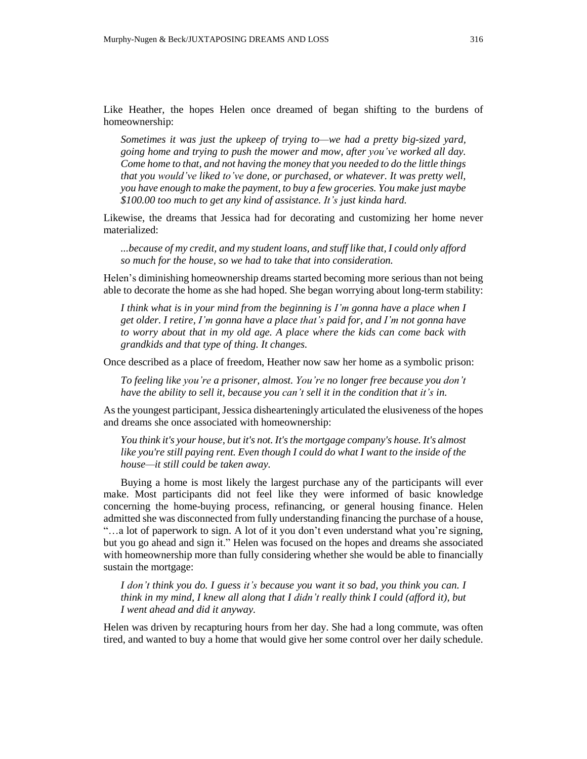Like Heather, the hopes Helen once dreamed of began shifting to the burdens of homeownership:

*Sometimes it was just the upkeep of trying to—we had a pretty big-sized yard, going home and trying to push the mower and mow, after you've worked all day. Come home to that, and not having the money that you needed to do the little things that you would've liked to've done, or purchased, or whatever. It was pretty well, you have enough to make the payment, to buy a few groceries. You make just maybe \$100.00 too much to get any kind of assistance. It's just kinda hard.*

Likewise, the dreams that Jessica had for decorating and customizing her home never materialized:

*...because of my credit, and my student loans, and stuff like that, I could only afford so much for the house, so we had to take that into consideration.*

Helen's diminishing homeownership dreams started becoming more serious than not being able to decorate the home as she had hoped. She began worrying about long-term stability:

*I think what is in your mind from the beginning is I'm gonna have a place when I get older. I retire, I'm gonna have a place that's paid for, and I'm not gonna have to worry about that in my old age. A place where the kids can come back with grandkids and that type of thing. It changes.*

Once described as a place of freedom, Heather now saw her home as a symbolic prison:

*To feeling like you're a prisoner, almost. You're no longer free because you don't have the ability to sell it, because you can't sell it in the condition that it's in.*

As the youngest participant, Jessica dishearteningly articulated the elusiveness of the hopes and dreams she once associated with homeownership:

*You think it's your house, but it's not. It'sthe mortgage company's house. It's almost like you're still paying rent. Even though I could do what I want to the inside of the house—it still could be taken away.*

Buying a home is most likely the largest purchase any of the participants will ever make. Most participants did not feel like they were informed of basic knowledge concerning the home-buying process, refinancing, or general housing finance. Helen admitted she was disconnected from fully understanding financing the purchase of a house, "…a lot of paperwork to sign. A lot of it you don't even understand what you're signing, but you go ahead and sign it." Helen was focused on the hopes and dreams she associated with homeownership more than fully considering whether she would be able to financially sustain the mortgage:

*I don't think you do. I guess it's because you want it so bad, you think you can. I think in my mind, I knew all along that I didn't really think I could (afford it), but I went ahead and did it anyway.*

Helen was driven by recapturing hours from her day. She had a long commute, was often tired, and wanted to buy a home that would give her some control over her daily schedule.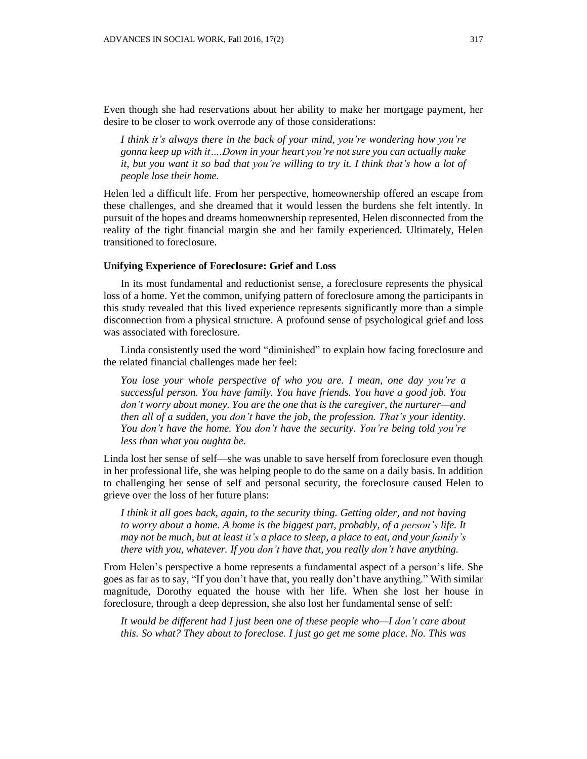Even though she had reservations about her ability to make her mortgage payment, her desire to be closer to work overrode any of those considerations:

*I think it's always there in the back of your mind, you're wondering how you're gonna keep up with it….Down in your heart you're not sure you can actually make* it, but you want it so bad that you're willing to try it. I think that's how a lot of *people lose their home.*

Helen led a difficult life. From her perspective, homeownership offered an escape from these challenges, and she dreamed that it would lessen the burdens she felt intently. In pursuit of the hopes and dreams homeownership represented, Helen disconnected from the reality of the tight financial margin she and her family experienced. Ultimately, Helen transitioned to foreclosure.

### **Unifying Experience of Foreclosure: Grief and Loss**

In its most fundamental and reductionist sense, a foreclosure represents the physical loss of a home. Yet the common, unifying pattern of foreclosure among the participants in this study revealed that this lived experience represents significantly more than a simple disconnection from a physical structure. A profound sense of psychological grief and loss was associated with foreclosure.

Linda consistently used the word "diminished" to explain how facing foreclosure and the related financial challenges made her feel:

*You lose your whole perspective of who you are. I mean, one day you're a successful person. You have family. You have friends. You have a good job. You don't worry about money. You are the one that is the caregiver, the nurturer—and then all of a sudden, you don't have the job, the profession. That's your identity. You don't have the home. You don't have the security. You're being told you're less than what you oughta be.*

Linda lost her sense of self—she was unable to save herself from foreclosure even though in her professional life, she was helping people to do the same on a daily basis. In addition to challenging her sense of self and personal security, the foreclosure caused Helen to grieve over the loss of her future plans:

*I think it all goes back, again, to the security thing. Getting older, and not having to worry about a home. A home is the biggest part, probably, of a person's life. It may not be much, but at least it's a place to sleep, a place to eat, and your family's there with you, whatever. If you don't have that, you really don't have anything.*

From Helen's perspective a home represents a fundamental aspect of a person's life. She goes as far as to say, "If you don't have that, you really don't have anything." With similar magnitude, Dorothy equated the house with her life. When she lost her house in foreclosure, through a deep depression, she also lost her fundamental sense of self:

*It would be different had I just been one of these people who—I don't care about this. So what? They about to foreclose. I just go get me some place. No. This was*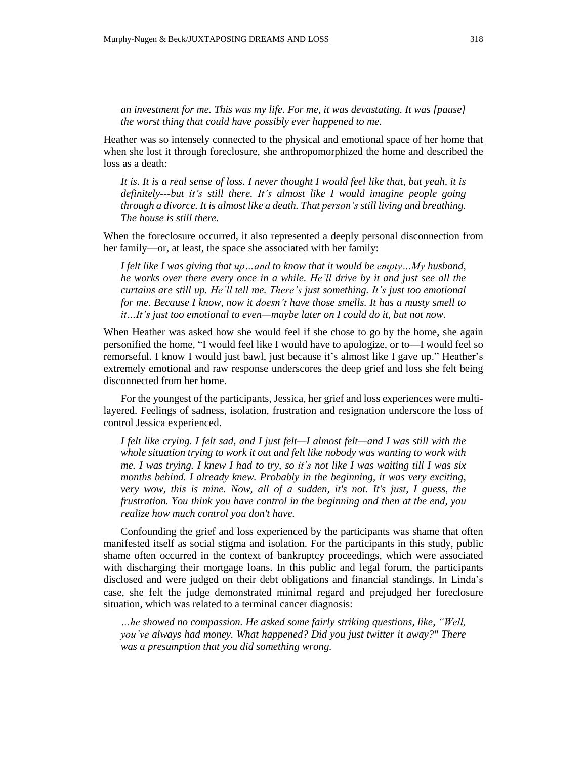*an investment for me. This was my life. For me, it was devastating. It was [pause] the worst thing that could have possibly ever happened to me.*

Heather was so intensely connected to the physical and emotional space of her home that when she lost it through foreclosure, she anthropomorphized the home and described the loss as a death:

It is. It is a real sense of loss. I never thought I would feel like that, but yeah, it is *definitely---but it's still there. It's almost like I would imagine people going through a divorce. It is almost like a death. That person's still living and breathing. The house is still there.*

When the foreclosure occurred, it also represented a deeply personal disconnection from her family—or, at least, the space she associated with her family:

*I felt like I was giving that up…and to know that it would be empty…My husband, he works over there every once in a while. He'll drive by it and just see all the curtains are still up. He'll tell me. There's just something. It's just too emotional for me. Because I know, now it doesn't have those smells. It has a musty smell to it…It's just too emotional to even—maybe later on I could do it, but not now.*

When Heather was asked how she would feel if she chose to go by the home, she again personified the home, "I would feel like I would have to apologize, or to—I would feel so remorseful. I know I would just bawl, just because it's almost like I gave up." Heather's extremely emotional and raw response underscores the deep grief and loss she felt being disconnected from her home.

For the youngest of the participants, Jessica, her grief and loss experiences were multilayered. Feelings of sadness, isolation, frustration and resignation underscore the loss of control Jessica experienced.

*I felt like crying. I felt sad, and I just felt—I almost felt—and I was still with the whole situation trying to work it out and felt like nobody was wanting to work with* me. I was trying. I knew I had to try, so it's not like I was waiting till I was six *months behind. I already knew. Probably in the beginning, it was very exciting, very wow, this is mine. Now, all of a sudden, it's not. It's just, I guess, the frustration. You think you have control in the beginning and then at the end, you realize how much control you don't have.*

Confounding the grief and loss experienced by the participants was shame that often manifested itself as social stigma and isolation. For the participants in this study, public shame often occurred in the context of bankruptcy proceedings, which were associated with discharging their mortgage loans. In this public and legal forum, the participants disclosed and were judged on their debt obligations and financial standings. In Linda's case, she felt the judge demonstrated minimal regard and prejudged her foreclosure situation, which was related to a terminal cancer diagnosis:

*…he showed no compassion. He asked some fairly striking questions, like, "Well, you've always had money. What happened? Did you just twitter it away?" There was a presumption that you did something wrong.*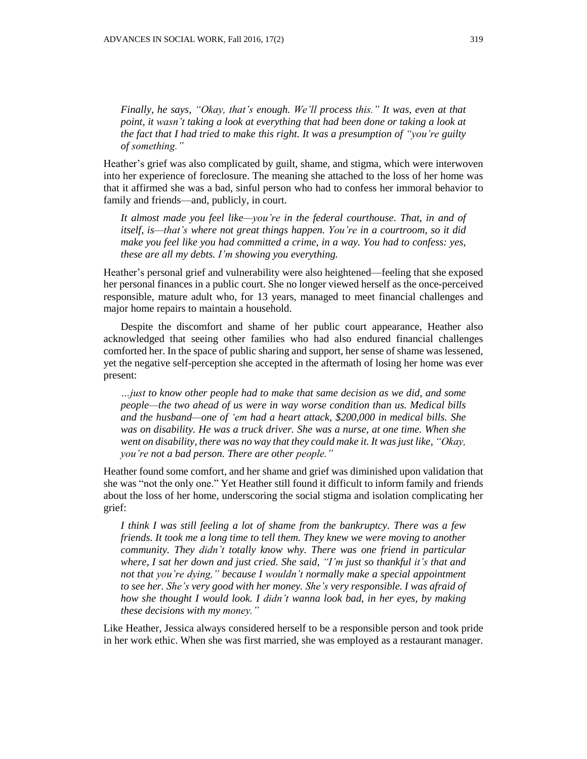*of something."*

Heather's grief was also complicated by guilt, shame, and stigma, which were interwoven into her experience of foreclosure. The meaning she attached to the loss of her home was that it affirmed she was a bad, sinful person who had to confess her immoral behavior to family and friends—and, publicly, in court.

*It almost made you feel like—you're in the federal courthouse. That, in and of itself, is—that's where not great things happen. You're in a courtroom, so it did make you feel like you had committed a crime, in a way. You had to confess: yes, these are all my debts. I'm showing you everything.*

Heather's personal grief and vulnerability were also heightened—feeling that she exposed her personal finances in a public court. She no longer viewed herself as the once-perceived responsible, mature adult who, for 13 years, managed to meet financial challenges and major home repairs to maintain a household.

Despite the discomfort and shame of her public court appearance, Heather also acknowledged that seeing other families who had also endured financial challenges comforted her. In the space of public sharing and support, her sense of shame was lessened, yet the negative self-perception she accepted in the aftermath of losing her home was ever present:

*…just to know other people had to make that same decision as we did, and some people—the two ahead of us were in way worse condition than us. Medical bills and the husband—one of 'em had a heart attack, \$200,000 in medical bills. She was on disability. He was a truck driver. She was a nurse, at one time. When she went on disability, there was no way that they could make it. It wasjust like, "Okay, you're not a bad person. There are other people."*

Heather found some comfort, and her shame and grief was diminished upon validation that she was "not the only one." Yet Heather still found it difficult to inform family and friends about the loss of her home, underscoring the social stigma and isolation complicating her grief:

*I think I was still feeling a lot of shame from the bankruptcy. There was a few friends. It took me a long time to tell them. They knew we were moving to another community. They didn't totally know why. There was one friend in particular where, I sat her down and just cried. She said, "I'm just so thankful it's that and not that you're dying," because I wouldn't normally make a special appointment to see her. She's very good with her money. She's very responsible. I was afraid of how she thought I would look. I didn't wanna look bad, in her eyes, by making these decisions with my money."*

Like Heather, Jessica always considered herself to be a responsible person and took pride in her work ethic. When she was first married, she was employed as a restaurant manager.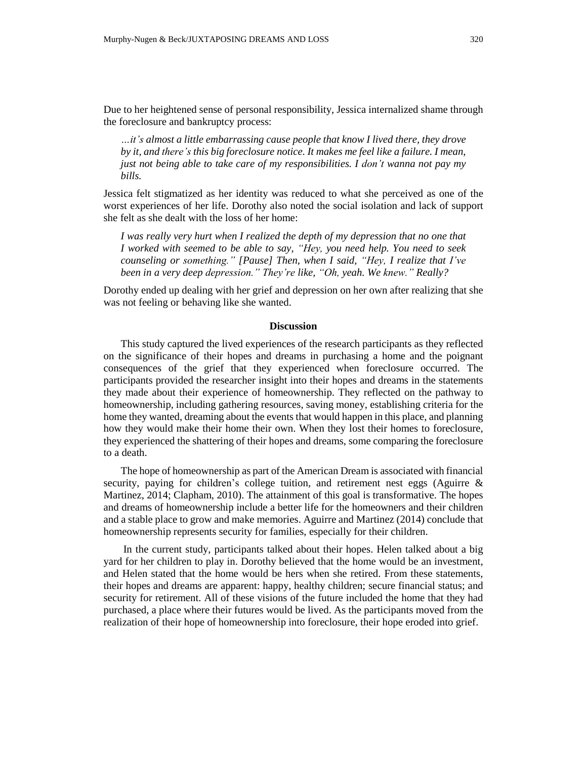Due to her heightened sense of personal responsibility, Jessica internalized shame through the foreclosure and bankruptcy process:

*…it's almost a little embarrassing cause people that know I lived there, they drove by it, and there's this big foreclosure notice. It makes me feel like a failure. I mean, just not being able to take care of my responsibilities. I don't wanna not pay my bills.*

Jessica felt stigmatized as her identity was reduced to what she perceived as one of the worst experiences of her life. Dorothy also noted the social isolation and lack of support she felt as she dealt with the loss of her home:

*I was really very hurt when I realized the depth of my depression that no one that I worked with seemed to be able to say, "Hey, you need help. You need to seek counseling or something." [Pause] Then, when I said, "Hey, I realize that I've been in a very deep depression." They're like, "Oh, yeah. We knew." Really?*

Dorothy ended up dealing with her grief and depression on her own after realizing that she was not feeling or behaving like she wanted.

### **Discussion**

This study captured the lived experiences of the research participants as they reflected on the significance of their hopes and dreams in purchasing a home and the poignant consequences of the grief that they experienced when foreclosure occurred. The participants provided the researcher insight into their hopes and dreams in the statements they made about their experience of homeownership. They reflected on the pathway to homeownership, including gathering resources, saving money, establishing criteria for the home they wanted, dreaming about the events that would happen in this place, and planning how they would make their home their own. When they lost their homes to foreclosure, they experienced the shattering of their hopes and dreams, some comparing the foreclosure to a death.

The hope of homeownership as part of the American Dream is associated with financial security, paying for children's college tuition, and retirement nest eggs (Aguirre & Martinez, 2014; Clapham, 2010). The attainment of this goal is transformative. The hopes and dreams of homeownership include a better life for the homeowners and their children and a stable place to grow and make memories. Aguirre and Martinez (2014) conclude that homeownership represents security for families, especially for their children.

In the current study, participants talked about their hopes. Helen talked about a big yard for her children to play in. Dorothy believed that the home would be an investment, and Helen stated that the home would be hers when she retired. From these statements, their hopes and dreams are apparent: happy, healthy children; secure financial status; and security for retirement. All of these visions of the future included the home that they had purchased, a place where their futures would be lived. As the participants moved from the realization of their hope of homeownership into foreclosure, their hope eroded into grief.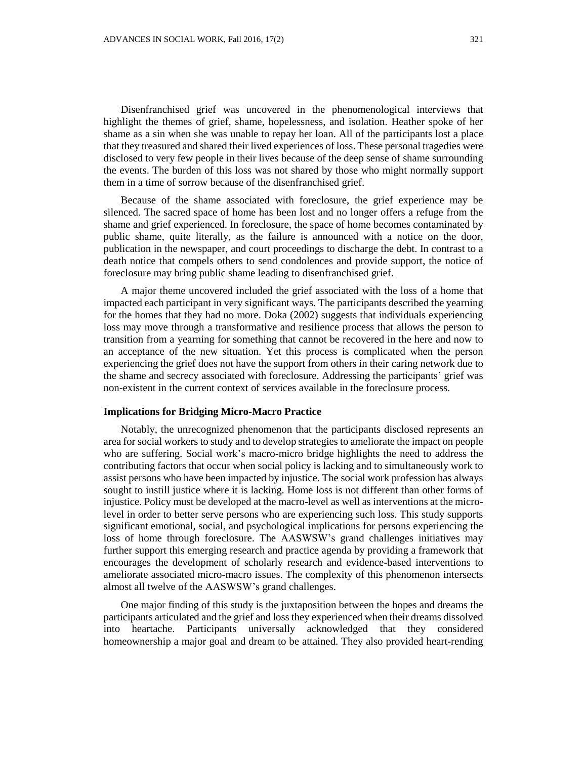Disenfranchised grief was uncovered in the phenomenological interviews that highlight the themes of grief, shame, hopelessness, and isolation. Heather spoke of her shame as a sin when she was unable to repay her loan. All of the participants lost a place that they treasured and shared their lived experiences of loss. These personal tragedies were disclosed to very few people in their lives because of the deep sense of shame surrounding the events. The burden of this loss was not shared by those who might normally support them in a time of sorrow because of the disenfranchised grief.

Because of the shame associated with foreclosure, the grief experience may be silenced. The sacred space of home has been lost and no longer offers a refuge from the shame and grief experienced. In foreclosure, the space of home becomes contaminated by public shame, quite literally, as the failure is announced with a notice on the door, publication in the newspaper, and court proceedings to discharge the debt. In contrast to a death notice that compels others to send condolences and provide support, the notice of foreclosure may bring public shame leading to disenfranchised grief.

A major theme uncovered included the grief associated with the loss of a home that impacted each participant in very significant ways. The participants described the yearning for the homes that they had no more. Doka (2002) suggests that individuals experiencing loss may move through a transformative and resilience process that allows the person to transition from a yearning for something that cannot be recovered in the here and now to an acceptance of the new situation. Yet this process is complicated when the person experiencing the grief does not have the support from others in their caring network due to the shame and secrecy associated with foreclosure. Addressing the participants' grief was non-existent in the current context of services available in the foreclosure process.

### **Implications for Bridging Micro-Macro Practice**

Notably, the unrecognized phenomenon that the participants disclosed represents an area for social workersto study and to develop strategies to ameliorate the impact on people who are suffering. Social work's macro-micro bridge highlights the need to address the contributing factors that occur when social policy is lacking and to simultaneously work to assist persons who have been impacted by injustice. The social work profession has always sought to instill justice where it is lacking. Home loss is not different than other forms of injustice. Policy must be developed at the macro-level as well as interventions at the microlevel in order to better serve persons who are experiencing such loss. This study supports significant emotional, social, and psychological implications for persons experiencing the loss of home through foreclosure. The AASWSW's grand challenges initiatives may further support this emerging research and practice agenda by providing a framework that encourages the development of scholarly research and evidence-based interventions to ameliorate associated micro-macro issues. The complexity of this phenomenon intersects almost all twelve of the AASWSW's grand challenges.

One major finding of this study is the juxtaposition between the hopes and dreams the participants articulated and the grief and lossthey experienced when their dreams dissolved into heartache. Participants universally acknowledged that they considered homeownership a major goal and dream to be attained. They also provided heart-rending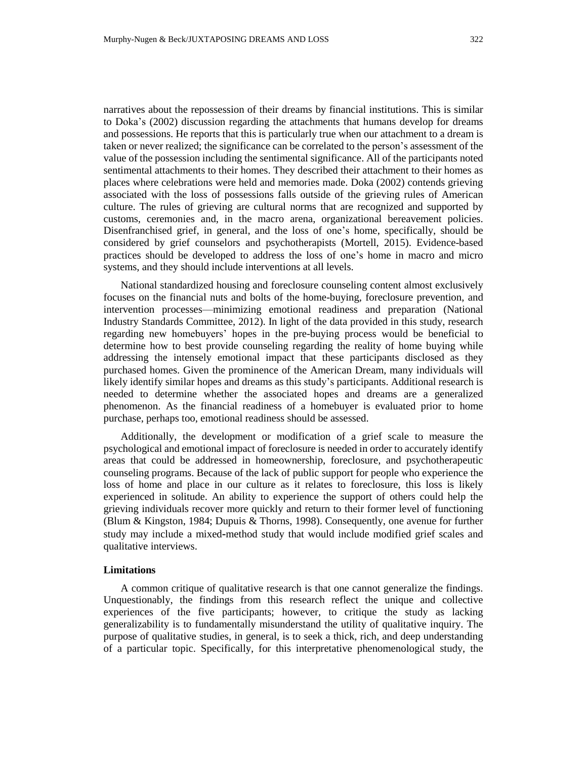narratives about the repossession of their dreams by financial institutions. This is similar to Doka's (2002) discussion regarding the attachments that humans develop for dreams and possessions. He reports that this is particularly true when our attachment to a dream is taken or never realized; the significance can be correlated to the person's assessment of the value of the possession including the sentimental significance. All of the participants noted sentimental attachments to their homes. They described their attachment to their homes as places where celebrations were held and memories made. Doka (2002) contends grieving associated with the loss of possessions falls outside of the grieving rules of American culture. The rules of grieving are cultural norms that are recognized and supported by customs, ceremonies and, in the macro arena, organizational bereavement policies. Disenfranchised grief, in general, and the loss of one's home, specifically, should be considered by grief counselors and psychotherapists (Mortell, 2015). Evidence-based practices should be developed to address the loss of one's home in macro and micro systems, and they should include interventions at all levels.

National standardized housing and foreclosure counseling content almost exclusively focuses on the financial nuts and bolts of the home-buying, foreclosure prevention, and intervention processes—minimizing emotional readiness and preparation (National Industry Standards Committee, 2012). In light of the data provided in this study, research regarding new homebuyers' hopes in the pre-buying process would be beneficial to determine how to best provide counseling regarding the reality of home buying while addressing the intensely emotional impact that these participants disclosed as they purchased homes. Given the prominence of the American Dream, many individuals will likely identify similar hopes and dreams as this study's participants. Additional research is needed to determine whether the associated hopes and dreams are a generalized phenomenon. As the financial readiness of a homebuyer is evaluated prior to home purchase, perhaps too, emotional readiness should be assessed.

Additionally, the development or modification of a grief scale to measure the psychological and emotional impact of foreclosure is needed in order to accurately identify areas that could be addressed in homeownership, foreclosure, and psychotherapeutic counseling programs. Because of the lack of public support for people who experience the loss of home and place in our culture as it relates to foreclosure, this loss is likely experienced in solitude. An ability to experience the support of others could help the grieving individuals recover more quickly and return to their former level of functioning (Blum & Kingston, 1984; Dupuis & Thorns, 1998). Consequently, one avenue for further study may include a mixed**-**method study that would include modified grief scales and qualitative interviews.

### **Limitations**

A common critique of qualitative research is that one cannot generalize the findings. Unquestionably, the findings from this research reflect the unique and collective experiences of the five participants; however, to critique the study as lacking generalizability is to fundamentally misunderstand the utility of qualitative inquiry. The purpose of qualitative studies, in general, is to seek a thick, rich, and deep understanding of a particular topic. Specifically, for this interpretative phenomenological study, the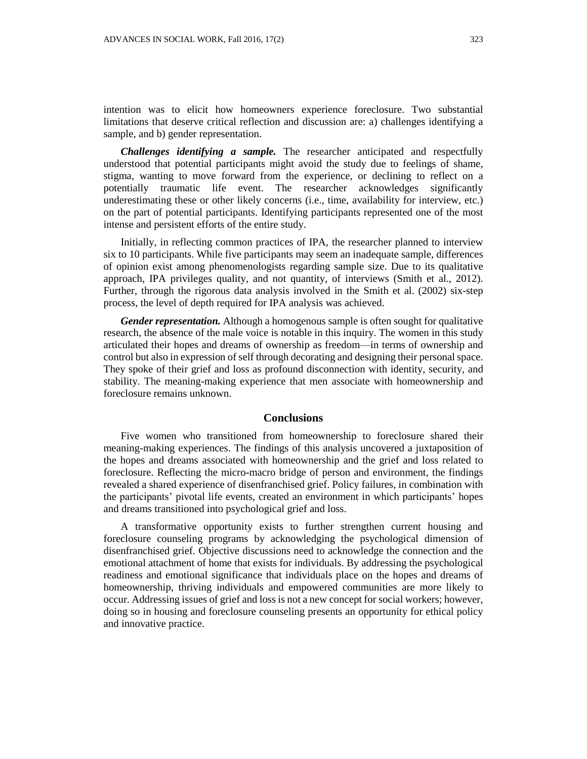intention was to elicit how homeowners experience foreclosure. Two substantial limitations that deserve critical reflection and discussion are: a) challenges identifying a sample, and b) gender representation.

*Challenges identifying a sample.* The researcher anticipated and respectfully understood that potential participants might avoid the study due to feelings of shame, stigma, wanting to move forward from the experience, or declining to reflect on a potentially traumatic life event. The researcher acknowledges significantly underestimating these or other likely concerns (i.e., time, availability for interview, etc.) on the part of potential participants. Identifying participants represented one of the most intense and persistent efforts of the entire study.

Initially, in reflecting common practices of IPA, the researcher planned to interview six to 10 participants. While five participants may seem an inadequate sample, differences of opinion exist among phenomenologists regarding sample size. Due to its qualitative approach, IPA privileges quality, and not quantity, of interviews (Smith et al., 2012). Further, through the rigorous data analysis involved in the Smith et al. (2002) six-step process, the level of depth required for IPA analysis was achieved.

*Gender representation.* Although a homogenous sample is often sought for qualitative research, the absence of the male voice is notable in this inquiry. The women in this study articulated their hopes and dreams of ownership as freedom—in terms of ownership and control but also in expression of self through decorating and designing their personal space. They spoke of their grief and loss as profound disconnection with identity, security, and stability. The meaning-making experience that men associate with homeownership and foreclosure remains unknown.

### **Conclusions**

Five women who transitioned from homeownership to foreclosure shared their meaning-making experiences. The findings of this analysis uncovered a juxtaposition of the hopes and dreams associated with homeownership and the grief and loss related to foreclosure. Reflecting the micro-macro bridge of person and environment, the findings revealed a shared experience of disenfranchised grief. Policy failures, in combination with the participants' pivotal life events, created an environment in which participants' hopes and dreams transitioned into psychological grief and loss.

A transformative opportunity exists to further strengthen current housing and foreclosure counseling programs by acknowledging the psychological dimension of disenfranchised grief. Objective discussions need to acknowledge the connection and the emotional attachment of home that exists for individuals. By addressing the psychological readiness and emotional significance that individuals place on the hopes and dreams of homeownership, thriving individuals and empowered communities are more likely to occur. Addressing issues of grief and loss is not a new concept for social workers; however, doing so in housing and foreclosure counseling presents an opportunity for ethical policy and innovative practice.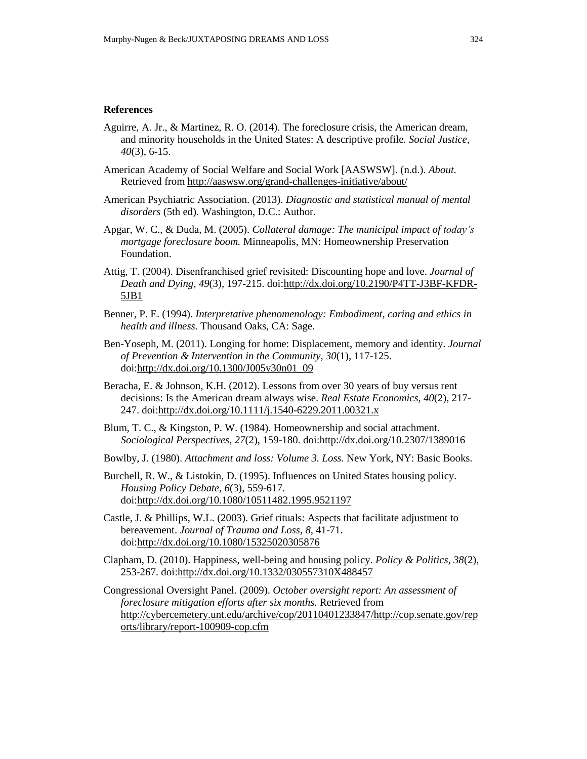### **References**

- Aguirre, A. Jr., & Martinez, R. O. (2014). The foreclosure crisis, the American dream, and minority households in the United States: A descriptive profile. *Social Justice, 40*(3), 6-15.
- American Academy of Social Welfare and Social Work [AASWSW]. (n.d.). *About*. Retrieved from <http://aaswsw.org/grand-challenges-initiative/about/>
- American Psychiatric Association. (2013). *Diagnostic and statistical manual of mental disorders* (5th ed). Washington, D.C.: Author.
- Apgar, W. C., & Duda, M. (2005). *Collateral damage: The municipal impact of today's mortgage foreclosure boom.* Minneapolis, MN: Homeownership Preservation Foundation.
- Attig, T. (2004). Disenfranchised grief revisited: Discounting hope and love. *Journal of Death and Dying, 49*(3), 197-215. doi[:http://dx.doi.org/10.2190/P4TT-J3BF-KFDR-](http://dx.doi.org/10.2190/P4TT-J3BF-KFDR-5JB1)[5JB1](http://dx.doi.org/10.2190/P4TT-J3BF-KFDR-5JB1)
- Benner, P. E. (1994). *Interpretative phenomenology: Embodiment, caring and ethics in health and illness.* Thousand Oaks, CA: Sage.
- Ben-Yoseph, M. (2011). Longing for home: Displacement, memory and identity. *Journal of Prevention & Intervention in the Community, 30*(1), 117-125. doi[:http://dx.doi.org/10.1300/J005v30n01\\_09](http://dx.doi.org/10.1300/J005v30n01_09)
- Beracha, E. & Johnson, K.H. (2012). Lessons from over 30 years of buy versus rent decisions: Is the American dream always wise. *Real Estate Economics, 40*(2), 217- 247. doi[:http://dx.doi.org/10.1111/j.1540-6229.2011.00321.x](http://dx.doi.org/10.1111/j.1540-6229.2011.00321.x)
- Blum, T. C., & Kingston, P. W. (1984). Homeownership and social attachment. *Sociological Perspectives, 27*(2), 159-180. doi[:http://dx.doi.org/10.2307/1389016](http://dx.doi.org/10.2307/1389016)
- Bowlby, J. (1980). *Attachment and loss: Volume 3. Loss.* New York, NY: Basic Books.
- Burchell, R. W., & Listokin, D. (1995). Influences on United States housing policy. *Housing Policy Debate, 6*(3), 559-617. doi[:http://dx.doi.org/10.1080/10511482.1995.9521197](http://dx.doi.org/10.1080/10511482.1995.9521197)
- Castle, J. & Phillips, W.L. (2003). Grief rituals: Aspects that facilitate adjustment to bereavement. *Journal of Trauma and Loss, 8,* 41-71. doi[:http://dx.doi.org/10.1080/15325020305876](http://dx.doi.org/10.1080/15325020305876)
- Clapham, D. (2010). Happiness, well-being and housing policy. *Policy & Politics, 38*(2), 253-267. doi[:http://dx.doi.org/10.1332/030557310X488457](http://dx.doi.org/10.1332/030557310X488457)
- Congressional Oversight Panel. (2009). *October oversight report: An assessment of foreclosure mitigation efforts after six months.* Retrieved from [http://cybercemetery.unt.edu/archive/cop/20110401233847/http://cop.senate.gov/rep](http://cybercemetery.unt.edu/archive/cop/20110401233847/http:/cop.senate.gov/reports/library/report-100909-cop.cfm) [orts/library/report-100909-cop.cfm](http://cybercemetery.unt.edu/archive/cop/20110401233847/http:/cop.senate.gov/reports/library/report-100909-cop.cfm)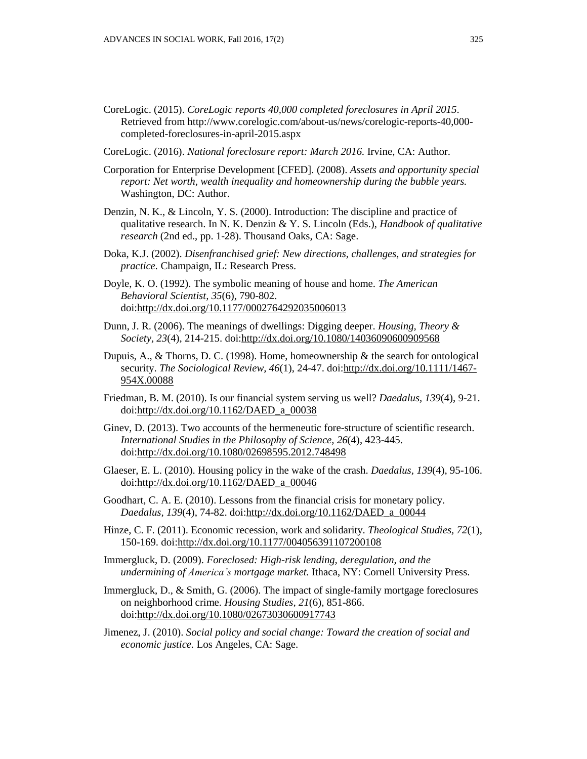- CoreLogic. (2015). *CoreLogic reports 40,000 completed foreclosures in April 2015*. Retrieved from http://www.corelogic.com/about-us/news/corelogic-reports-40,000 completed-foreclosures-in-april-2015.aspx
- CoreLogic. (2016). *National foreclosure report: March 2016.* Irvine, CA: Author.
- Corporation for Enterprise Development [CFED]. (2008). *Assets and opportunity special report: Net worth, wealth inequality and homeownership during the bubble years.* Washington, DC: Author.
- Denzin, N. K., & Lincoln, Y. S. (2000). Introduction: The discipline and practice of qualitative research. In N. K. Denzin & Y. S. Lincoln (Eds.), *Handbook of qualitative research* (2nd ed., pp. 1-28). Thousand Oaks, CA: Sage.
- Doka, K.J. (2002). *Disenfranchised grief: New directions, challenges, and strategies for practice.* Champaign, IL: Research Press.
- Doyle, K. O. (1992). The symbolic meaning of house and home. *The American Behavioral Scientist, 35*(6), 790-802. doi[:http://dx.doi.org/10.1177/0002764292035006013](http://dx.doi.org/10.1177/0002764292035006013)
- Dunn, J. R. (2006). The meanings of dwellings: Digging deeper. *Housing, Theory & Society, 23*(4), 214-215. doi[:http://dx.doi.org/10.1080/14036090600909568](http://dx.doi.org/10.1080/14036090600909568)
- Dupuis, A., & Thorns, D. C. (1998). Home, homeownership & the search for ontological security. *The Sociological Review, 46*(1), 24-47. doi[:http://dx.doi.org/10.1111/1467-](http://dx.doi.org/10.1111/1467-954X.00088) [954X.00088](http://dx.doi.org/10.1111/1467-954X.00088)
- Friedman, B. M. (2010). Is our financial system serving us well? *Daedalus, 139*(4), 9-21. doi[:http://dx.doi.org/10.1162/DAED\\_a\\_00038](http://dx.doi.org/10.1162/DAED_a_00038)
- Ginev, D. (2013). Two accounts of the hermeneutic fore-structure of scientific research. *International Studies in the Philosophy of Science, 26*(4), 423-445. doi[:http://dx.doi.org/10.1080/02698595.2012.748498](http://dx.doi.org/10.1080/02698595.2012.748498)
- Glaeser, E. L. (2010). Housing policy in the wake of the crash. *Daedalus, 139*(4), 95-106. doi[:http://dx.doi.org/10.1162/DAED\\_a\\_00046](http://dx.doi.org/10.1162/DAED_a_00046)
- Goodhart, C. A. E. (2010). Lessons from the financial crisis for monetary policy. *Daedalus, 139*(4), 74-82. doi[:http://dx.doi.org/10.1162/DAED\\_a\\_00044](http://dx.doi.org/10.1162/DAED_a_00044)
- Hinze, C. F. (2011). Economic recession, work and solidarity. *Theological Studies, 72*(1), 150-169. doi[:http://dx.doi.org/10.1177/004056391107200108](http://dx.doi.org/10.1177/004056391107200108)
- Immergluck, D. (2009). *Foreclosed: High-risk lending, deregulation, and the undermining of America's mortgage market.* Ithaca, NY: Cornell University Press.
- Immergluck, D., & Smith, G. (2006). The impact of single-family mortgage foreclosures on neighborhood crime. *Housing Studies, 21*(6), 851-866. doi[:http://dx.doi.org/10.1080/02673030600917743](http://dx.doi.org/10.1080/02673030600917743)
- Jimenez, J. (2010). *Social policy and social change: Toward the creation of social and economic justice.* Los Angeles, CA: Sage.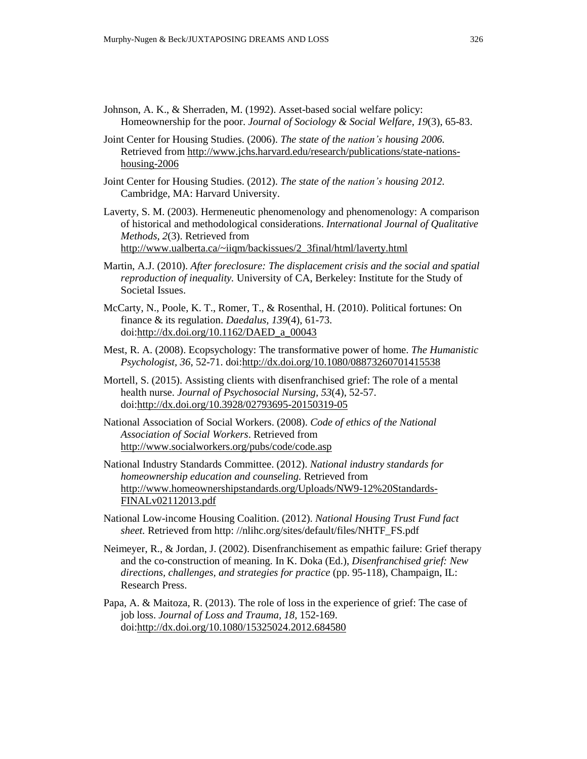- Johnson, A. K., & Sherraden, M. (1992). Asset-based social welfare policy: Homeownership for the poor. *Journal of Sociology & Social Welfare, 19*(3), 65-83.
- Joint Center for Housing Studies. (2006). *The state of the nation's housing 2006.* Retrieved from [http://www.jchs.harvard.edu/research/publications/state-nations](http://www.jchs.harvard.edu/research/publications/state-nations-housing-2006)[housing-2006](http://www.jchs.harvard.edu/research/publications/state-nations-housing-2006)
- Joint Center for Housing Studies. (2012). *The state of the nation's housing 2012.* Cambridge, MA: Harvard University.
- Laverty, S. M. (2003). Hermeneutic phenomenology and phenomenology: A comparison of historical and methodological considerations. *International Journal of Qualitative Methods, 2*(3). Retrieved from [http://www.ualberta.ca/~iiqm/backissues/2\\_3final/html/laverty.html](http://www.ualberta.ca/~iiqm/backissues/2_3final/html/laverty.html)
- Martin, A.J. (2010). *After foreclosure: The displacement crisis and the social and spatial reproduction of inequality.* University of CA, Berkeley: Institute for the Study of Societal Issues.
- McCarty, N., Poole, K. T., Romer, T., & Rosenthal, H. (2010). Political fortunes: On finance & its regulation. *Daedalus, 139*(4), 61-73. doi[:http://dx.doi.org/10.1162/DAED\\_a\\_00043](http://dx.doi.org/10.1162/DAED_a_00043)
- Mest, R. A. (2008). Ecopsychology: The transformative power of home. *The Humanistic Psychologist, 36*, 52-71. doi[:http://dx.doi.org/10.1080/08873260701415538](http://dx.doi.org/10.1080/08873260701415538)
- Mortell, S. (2015). Assisting clients with disenfranchised grief: The role of a mental health nurse. *Journal of Psychosocial Nursing, 53*(4), 52-57. doi[:http://dx.doi.org/10.3928/02793695-20150319-05](http://dx.doi.org/10.3928/02793695-20150319-05)
- National Association of Social Workers. (2008). *Code of ethics of the National Association of Social Workers*. Retrieved from <http://www.socialworkers.org/pubs/code/code.asp>
- National Industry Standards Committee. (2012). *National industry standards for homeownership education and counseling.* Retrieved from [http://www.homeownershipstandards.org/Uploads/NW9-12%20Standards-](http://www.homeownershipstandards.org/Uploads/NW9-12%20Standards-FINALv02112013.pdf)[FINALv02112013.pdf](http://www.homeownershipstandards.org/Uploads/NW9-12%20Standards-FINALv02112013.pdf)
- National Low-income Housing Coalition. (2012). *National Housing Trust Fund fact sheet.* Retrieved from http: //nlihc.org/sites/default/files/NHTF\_FS.pdf
- Neimeyer, R., & Jordan, J. (2002). Disenfranchisement as empathic failure: Grief therapy and the co-construction of meaning. In K. Doka (Ed.), *Disenfranchised grief: New directions, challenges, and strategies for practice* (pp. 95-118), Champaign, IL: Research Press.
- Papa, A. & Maitoza, R. (2013). The role of loss in the experience of grief: The case of job loss. *Journal of Loss and Trauma, 18,* 152-169. doi[:http://dx.doi.org/10.1080/15325024.2012.684580](http://dx.doi.org/10.1080/15325024.2012.684580)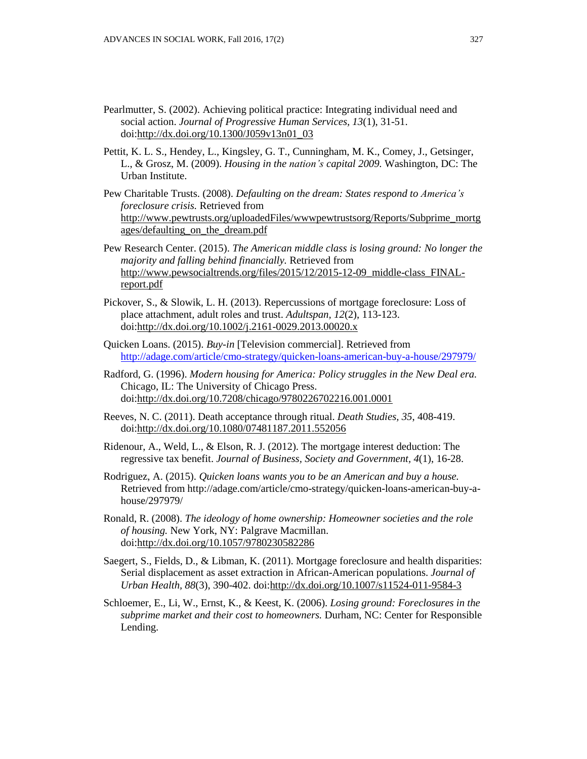- Pearlmutter, S. (2002). Achieving political practice: Integrating individual need and social action. *Journal of Progressive Human Services, 13*(1), 31-51. doi[:http://dx.doi.org/10.1300/J059v13n01\\_03](http://dx.doi.org/10.1300/J059v13n01_03)
- Pettit, K. L. S., Hendey, L., Kingsley, G. T., Cunningham, M. K., Comey, J., Getsinger, L., & Grosz, M. (2009). *Housing in the nation's capital 2009.* Washington, DC: The Urban Institute.
- Pew Charitable Trusts. (2008). *Defaulting on the dream: States respond to America's foreclosure crisis.* Retrieved from [http://www.pewtrusts.org/uploadedFiles/wwwpewtrustsorg/Reports/Subprime\\_mortg](http://www.pewtrusts.org/uploadedFiles/wwwpewtrustsorg/Reports/Subprime_mortgages/defaulting_on_the_dream.pdf) [ages/defaulting\\_on\\_the\\_dream.pdf](http://www.pewtrusts.org/uploadedFiles/wwwpewtrustsorg/Reports/Subprime_mortgages/defaulting_on_the_dream.pdf)
- Pew Research Center. (2015). *The American middle class is losing ground: No longer the majority and falling behind financially.* Retrieved from [http://www.pewsocialtrends.org/files/2015/12/2015-12-09\\_middle-class\\_FINAL](http://www.pewsocialtrends.org/files/2015/12/2015-12-09_middle-class_FINAL-report.pdf)[report.pdf](http://www.pewsocialtrends.org/files/2015/12/2015-12-09_middle-class_FINAL-report.pdf)
- Pickover, S., & Slowik, L. H. (2013). Repercussions of mortgage foreclosure: Loss of place attachment, adult roles and trust. *Adultspan, 12*(2), 113-123. doi[:http://dx.doi.org/10.1002/j.2161-0029.2013.00020.x](http://dx.doi.org/10.1002/j.2161-0029.2013.00020.x)
- Quicken Loans. (2015). *Buy-in* [Television commercial]. Retrieved from <http://adage.com/article/cmo-strategy/quicken-loans-american-buy-a-house/297979/>
- Radford, G. (1996). *Modern housing for America: Policy struggles in the New Deal era.* Chicago, IL: The University of Chicago Press. doi[:http://dx.doi.org/10.7208/chicago/9780226702216.001.0001](http://dx.doi.org/10.7208/chicago/9780226702216.001.0001)
- Reeves, N. C. (2011). Death acceptance through ritual. *Death Studies, 35*, 408-419. doi[:http://dx.doi.org/10.1080/07481187.2011.552056](http://dx.doi.org/10.1080/07481187.2011.552056)
- Ridenour, A., Weld, L., & Elson, R. J. (2012). The mortgage interest deduction: The regressive tax benefit. *Journal of Business, Society and Government, 4*(1), 16-28.
- Rodriguez, A. (2015). *Quicken loans wants you to be an American and buy a house.* Retrieved from http://adage.com/article/cmo-strategy/quicken-loans-american-buy-ahouse/297979/
- Ronald, R. (2008). *The ideology of home ownership: Homeowner societies and the role of housing.* New York, NY: Palgrave Macmillan. doi[:http://dx.doi.org/10.1057/9780230582286](http://dx.doi.org/10.1057/9780230582286)
- Saegert, S., Fields, D., & Libman, K. (2011). Mortgage foreclosure and health disparities: Serial displacement as asset extraction in African-American populations. *Journal of Urban Health, 88*(3), 390-402. doi[:http://dx.doi.org/10.1007/s11524-011-9584-3](http://dx.doi.org/10.1007/s11524-011-9584-3)
- Schloemer, E., Li, W., Ernst, K., & Keest, K. (2006). *Losing ground: Foreclosures in the subprime market and their cost to homeowners.* Durham, NC: Center for Responsible Lending.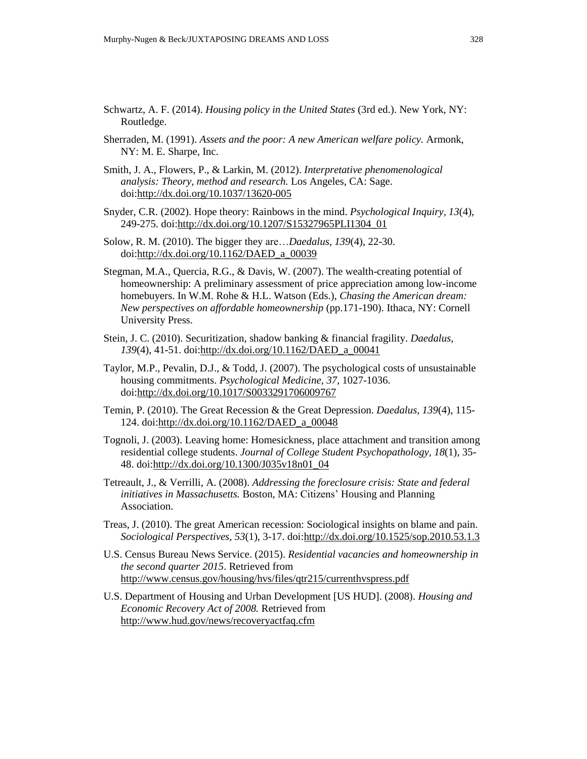- Schwartz, A. F. (2014). *Housing policy in the United States* (3rd ed.). New York, NY: Routledge.
- Sherraden, M. (1991). *Assets and the poor: A new American welfare policy.* Armonk, NY: M. E. Sharpe, Inc.
- Smith, J. A., Flowers, P., & Larkin, M. (2012). *Interpretative phenomenological analysis: Theory, method and research.* Los Angeles, CA: Sage. doi[:http://dx.doi.org/10.1037/13620-005](http://dx.doi.org/10.1037/13620-005)
- Snyder, C.R. (2002). Hope theory: Rainbows in the mind. *Psychological Inquiry, 13*(4), 249-275. doi[:http://dx.doi.org/10.1207/S15327965PLI1304\\_01](http://dx.doi.org/10.1207/S15327965PLI1304_01)
- Solow, R. M. (2010). The bigger they are…*Daedalus, 139*(4), 22-30. doi[:http://dx.doi.org/10.1162/DAED\\_a\\_00039](http://dx.doi.org/10.1162/DAED_a_00039)
- Stegman, M.A., Quercia, R.G., & Davis, W. (2007). The wealth-creating potential of homeownership: A preliminary assessment of price appreciation among low-income homebuyers. In W.M. Rohe & H.L. Watson (Eds.), *Chasing the American dream: New perspectives on affordable homeownership* (pp.171-190). Ithaca, NY: Cornell University Press.
- Stein, J. C. (2010). Securitization, shadow banking & financial fragility. *Daedalus, 139*(4), 41-51. doi[:http://dx.doi.org/10.1162/DAED\\_a\\_00041](http://dx.doi.org/10.1162/DAED_a_00041)
- Taylor, M.P., Pevalin, D.J., & Todd, J. (2007). The psychological costs of unsustainable housing commitments. *Psychological Medicine, 37*, 1027-1036. doi[:http://dx.doi.org/10.1017/S0033291706009767](http://dx.doi.org/10.1017/S0033291706009767)
- Temin, P. (2010). The Great Recession & the Great Depression. *Daedalus, 139*(4), 115- 124. doi[:http://dx.doi.org/10.1162/DAED\\_a\\_00048](http://dx.doi.org/10.1162/DAED_a_00048)
- Tognoli, J. (2003). Leaving home: Homesickness, place attachment and transition among residential college students. *Journal of College Student Psychopathology, 18*(1), 35- 48. doi[:http://dx.doi.org/10.1300/J035v18n01\\_04](http://dx.doi.org/10.1300/J035v18n01_04)
- Tetreault, J., & Verrilli, A. (2008). *Addressing the foreclosure crisis: State and federal initiatives in Massachusetts.* Boston, MA: Citizens' Housing and Planning Association.
- Treas, J. (2010). The great American recession: Sociological insights on blame and pain. *Sociological Perspectives, 53*(1), 3-17. doi[:http://dx.doi.org/10.1525/sop.2010.53.1.3](http://dx.doi.org/10.1525/sop.2010.53.1.3)
- U.S. Census Bureau News Service. (2015). *Residential vacancies and homeownership in the second quarter 2015*. Retrieved from <http://www.census.gov/housing/hvs/files/qtr215/currenthvspress.pdf>
- U.S. Department of Housing and Urban Development [US HUD]. (2008). *Housing and Economic Recovery Act of 2008.* Retrieved from <http://www.hud.gov/news/recoveryactfaq.cfm>